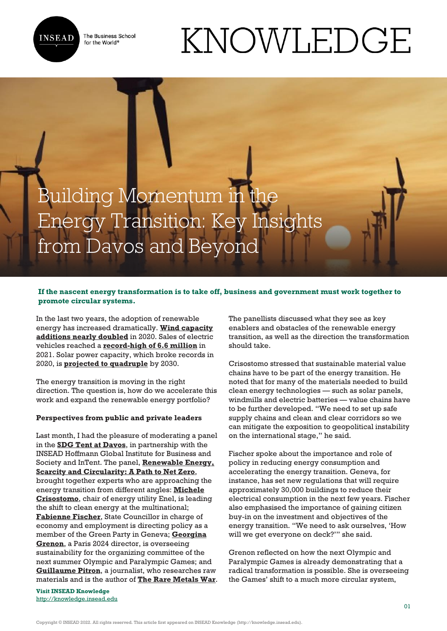

The Business School for the World<sup>®</sup>

# KNOWLEDGE



# **If the nascent energy transformation is to take off, business and government must work together to promote circular systems.**

In the last two years, the adoption of renewable energy has increased dramatically. **[Wind capacity](https://www.iea.org/reports/wind-power) [additions nearly doubled](https://www.iea.org/reports/wind-power)** in 2020. Sales of electric vehicles reached a **[record-high of 6.6 million](https://www.iea.org/reports/global-ev-outlook-2022/executive-summary)** in 2021. Solar power capacity, which broke records in 2020, is **[projected to quadruple](https://www.seia.org/news/solar-industry-sets-records-2020-track-quadruple-2030)** by 2030.

The energy transition is moving in the right direction. The question is, how do we accelerate this work and expand the renewable energy portfolio?

### **Perspectives from public and private leaders**

Last month, I had the pleasure of moderating a panel in the **[SDG Tent at Davos](https://sdgtent.com/)**, in partnership with the INSEAD Hoffmann Global Institute for Business and Society and InTent. The panel, **[Renewable Energy,](https://vimeo.com/event/2091041/videos/713206131/) [Scarcity and Circularity: A Path to Net Zero](https://vimeo.com/event/2091041/videos/713206131/)**, brought together experts who are approaching the energy transition from different angles: **[Michele](https://www.linkedin.com/in/ACoAAAHTPVsBZ4_fUD90D_hQbj9ncdwuDc00XTU) [Crisostomo](https://www.linkedin.com/in/ACoAAAHTPVsBZ4_fUD90D_hQbj9ncdwuDc00XTU)**, chair of energy utility Enel, is leading the shift to clean energy at the multinational; **[Fabienne Fischer](https://www.linkedin.com/in/ACoAADLke0UB2kfjiSVWuCET8_UPQaQyVTmkZ1I)**, State Councillor in charge of economy and employment is directing policy as a member of the Green Party in Geneva; **[Georgina](https://www.linkedin.com/in/ACoAAADtfvABdaE_5taod83DE_otOWTdkl-qcC4) [Grenon](https://www.linkedin.com/in/ACoAAADtfvABdaE_5taod83DE_otOWTdkl-qcC4)**, a Paris 2024 director, is overseeing sustainability for the organizing committee of the next summer Olympic and Paralympic Games; and **[Guillaume Pitron](https://www.linkedin.com/in/ACoAAAJ0p_cBvKPBgdw1BP2hUikxjLRB26Ml3hc)**, a journalist, who researches raw materials and is the author of **[The Rare Metals War](https://www.amazon.com/Rare-Metals-War-Digital-Technologies/dp/1950354318)**.

**Visit INSEAD Knowledge** <http://knowledge.insead.edu> The panellists discussed what they see as key enablers and obstacles of the renewable energy transition, as well as the direction the transformation should take.

Crisostomo stressed that sustainable material value chains have to be part of the energy transition. He noted that for many of the materials needed to build clean energy technologies — such as solar panels, windmills and electric batteries — value chains have to be further developed. "We need to set up safe supply chains and clean and clear corridors so we can mitigate the exposition to geopolitical instability on the international stage," he said.

Fischer spoke about the importance and role of policy in reducing energy consumption and accelerating the energy transition. Geneva, for instance, has set new regulations that will require approximately 30,000 buildings to reduce their electrical consumption in the next few years. Fischer also emphasised the importance of gaining citizen buy-in on the investment and objectives of the energy transition. "We need to ask ourselves, 'How will we get everyone on deck?'" she said.

Grenon reflected on how the next Olympic and Paralympic Games is already demonstrating that a radical transformation is possible. She is overseeing the Games' shift to a much more circular system,

Copyright © INSEAD 2022. All rights reserved. This article first appeared on INSEAD Knowledge (http://knowledge.insead.edu).